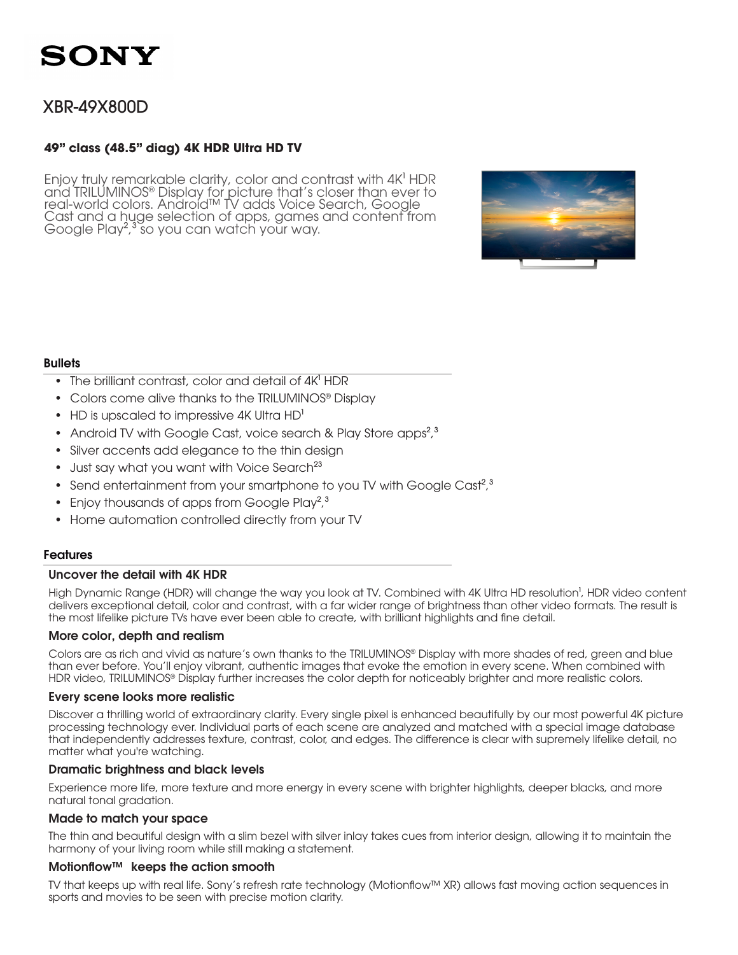### XBR-49X800D

#### **49" class (48.5" diag) 4K HDR Ultra HD TV**

Enjoy truly remarkable clarity, color and contrast with 4K<sup>1</sup> HDR and TRILUMINOS® Display for picture that's closer than ever to real-world colors. Android™ TV adds Voice Search, Google Cast and a huge selection of apps, games and content from Google Play<sup>2,3</sup> so you can watch your way.



#### **Bullets**

- The brilliant contrast, color and detail of  $4K<sup>1</sup>$  HDR
- Colors come alive thanks to the TRILUMINOS® Display
- HD is upscaled to impressive 4K Ultra  $HD<sup>1</sup>$
- Android TV with Google Cast, voice search & Play Store apps<sup>2</sup>,<sup>3</sup>
- Silver accents add elegance to the thin design
- Just say what you want with Voice Search<sup>23</sup>
- Send entertainment from your smartphone to you TV with Google Cast<sup>2,3</sup>
- Enjoy thousands of apps from Google Play<sup>2</sup>,<sup>3</sup>
- Home automation controlled directly from your TV

#### Features

#### Uncover the detail with 4K HDR

High Dynamic Range (HDR) will change the way you look at TV. Combined with 4K Ultra HD resolution<sup>1</sup>, HDR video content delivers exceptional detail, color and contrast, with a far wider range of brightness than other video formats. The result is the most lifelike picture TVs have ever been able to create, with brilliant highlights and fine detail.

#### More color, depth and realism

Colors are as rich and vivid as nature's own thanks to the TRILUMINOS® Display with more shades of red, green and blue than ever before. You'll enjoy vibrant, authentic images that evoke the emotion in every scene. When combined with HDR video, TRILUMINOS® Display further increases the color depth for noticeably brighter and more realistic colors.

#### Every scene looks more realistic

Discover a thrilling world of extraordinary clarity. Every single pixel is enhanced beautifully by our most powerful 4K picture processing technology ever. Individual parts of each scene are analyzed and matched with a special image database that independently addresses texture, contrast, color, and edges. The difference is clear with supremely lifelike detail, no matter what you're watching.

#### Dramatic brightness and black levels

Experience more life, more texture and more energy in every scene with brighter highlights, deeper blacks, and more natural tonal gradation.

#### Made to match your space

The thin and beautiful design with a slim bezel with silver inlay takes cues from interior design, allowing it to maintain the harmony of your living room while still making a statement.

#### Motionflow™ keeps the action smooth

TV that keeps up with real life. Sony's refresh rate technology (Motionflow™ XR) allows fast moving action sequences in sports and movies to be seen with precise motion clarity.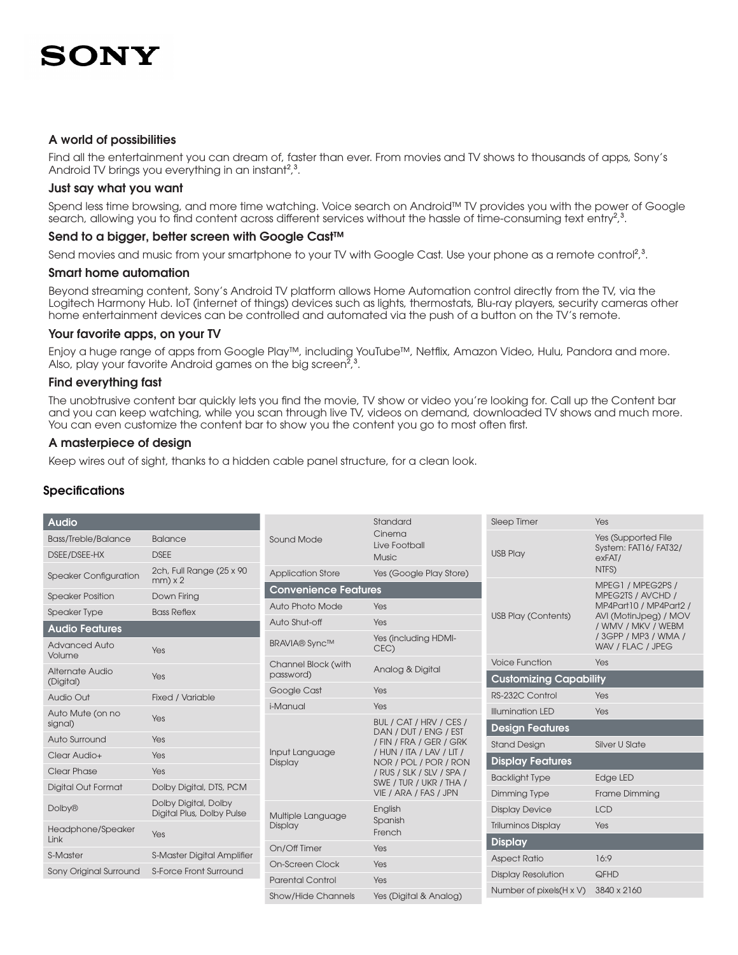#### A world of possibilities

Find all the entertainment you can dream of, faster than ever. From movies and TV shows to thousands of apps, Sony's Android TV brings you everything in an instant<sup>2,3</sup>.

#### Just say what you want

Spend less time browsing, and more time watching. Voice search on Android™ TV provides you with the power of Google search, allowing you to find content across different services without the hassle of time-consuming text entry<sup>2,3</sup>.

#### Send to a bigger, better screen with Google Cast™

Send movies and music from your smartphone to your TV with Google Cast. Use your phone as a remote control<sup>2</sup>,<sup>3</sup>.

#### Smart home automation

Beyond streaming content, Sony's Android TV platform allows Home Automation control directly from the TV, via the Logitech Harmony Hub. IoT (internet of things) devices such as lights, thermostats, Blu-ray players, security cameras other home entertainment devices can be controlled and automated via the push of a button on the TV's remote.

#### Your favorite apps, on your TV

Enjoy a huge range of apps from Google Play™, including YouTube™, Netflix, Amazon Video, Hulu, Pandora and more. Also, play your favorite Android games on the big screen<sup>2</sup>,<sup>3</sup>.

#### Find everything fast

The unobtrusive content bar quickly lets you find the movie, TV show or video you're looking for. Call up the Content bar and you can keep watching, while you scan through live TV, videos on demand, downloaded TV shows and much more. You can even customize the content bar to show you the content you go to most often first.

#### A masterpiece of design

Keep wires out of sight, thanks to a hidden cable panel structure, for a clean look.

#### **Specifications**

| <b>Audio</b>                   |                                                   | Sound Mode                       | Standard<br>Cinema<br>Live Football<br><b>Music</b>                                                                                                                                                                | Sleep Timer                                 | Yes                                                   |
|--------------------------------|---------------------------------------------------|----------------------------------|--------------------------------------------------------------------------------------------------------------------------------------------------------------------------------------------------------------------|---------------------------------------------|-------------------------------------------------------|
| <b>Bass/Treble/Balance</b>     | <b>Balance</b>                                    |                                  |                                                                                                                                                                                                                    | <b>USB Play</b>                             | Yes (Supported File<br>System: FAT16/FAT32/<br>exFAT/ |
| DSEE/DSEE-HX                   | <b>DSEE</b>                                       |                                  |                                                                                                                                                                                                                    |                                             |                                                       |
| <b>Speaker Configuration</b>   | 2ch, Full Range (25 x 90)                         | <b>Application Store</b>         | Yes (Google Play Store)                                                                                                                                                                                            |                                             | NTFS)                                                 |
|                                | $mm) \times 2$                                    |                                  | <b>Convenience Features</b>                                                                                                                                                                                        |                                             | MPEG1 / MPEG2PS /                                     |
| <b>Speaker Position</b>        | Down Firing                                       | Auto Photo Mode                  | Yes                                                                                                                                                                                                                | MPEG2TS / AVCHD /<br>MP4Part10 / MP4Part2 / |                                                       |
| <b>Speaker Type</b>            | <b>Bass Reflex</b>                                |                                  |                                                                                                                                                                                                                    | <b>USB Play (Contents)</b>                  | AVI (MotinJpeg) / MOV                                 |
| <b>Audio Features</b>          |                                                   | Auto Shut-off                    | <b>Yes</b>                                                                                                                                                                                                         | / WMV / MKV / WEBM                          |                                                       |
| <b>Advanced Auto</b><br>Volume | Yes                                               | <b>BRAVIA®</b> Sync™             | Yes (including HDMI-<br>CEC)                                                                                                                                                                                       |                                             | / 3GPP / MP3 / WMA /<br>WAV / FLAC / JPEG             |
| Alternate Audio<br>(Digital)   | Yes                                               | Channel Block (with<br>password) | Analog & Digital                                                                                                                                                                                                   | <b>Voice Function</b>                       | Yes                                                   |
|                                |                                                   |                                  |                                                                                                                                                                                                                    | <b>Customizing Capability</b>               |                                                       |
| Audio Out                      | Fixed / Variable                                  | Google Cast                      | Yes                                                                                                                                                                                                                | RS-232C Control                             | Yes                                                   |
| Auto Mute (on no               | Yes                                               | i-Manual                         | Yes                                                                                                                                                                                                                | <b>Illumination LED</b>                     | Yes                                                   |
| signal)                        |                                                   | Input Language<br>Display        | BUL / CAT / HRV / CES /<br>DAN / DUT / ENG / EST<br>/ FIN / FRA / GER / GRK<br>/ HUN / ITA / LAV / LIT /<br>NOR / POL / POR / RON<br>/ RUS / SLK / SLV / SPA /<br>SWE / TUR / UKR / THA /<br>VIE / ARA / FAS / JPN | <b>Design Features</b>                      |                                                       |
| Auto Surround                  | Yes                                               |                                  |                                                                                                                                                                                                                    | <b>Stand Design</b>                         | <b>Silver U Slate</b>                                 |
| Clear Audio+                   | Yes                                               |                                  |                                                                                                                                                                                                                    | <b>Display Features</b>                     |                                                       |
| <b>Clear Phase</b>             | Yes                                               |                                  |                                                                                                                                                                                                                    | <b>Backlight Type</b>                       | Edge LED                                              |
| <b>Digital Out Format</b>      | Dolby Digital, DTS, PCM                           |                                  |                                                                                                                                                                                                                    | Dimming Type                                | Frame Dimming                                         |
| <b>Dolby®</b>                  | Dolby Digital, Dolby<br>Digital Plus, Dolby Pulse | Multiple Language<br>Display     | English<br>Spanish<br>French                                                                                                                                                                                       | <b>Display Device</b>                       | <b>LCD</b>                                            |
|                                |                                                   |                                  |                                                                                                                                                                                                                    | <b>Triluminos Display</b>                   | Yes                                                   |
| Headphone/Speaker<br>Link      | Yes                                               |                                  |                                                                                                                                                                                                                    | <b>Display</b>                              |                                                       |
| S-Master                       | S-Master Digital Amplifier                        | On/Off Timer                     | Yes                                                                                                                                                                                                                | <b>Aspect Ratio</b>                         | 16:9                                                  |
| Sony Original Surround         | S-Force Front Surround                            | On-Screen Clock                  | Yes                                                                                                                                                                                                                |                                             |                                                       |
|                                |                                                   | <b>Parental Control</b>          | Yes                                                                                                                                                                                                                | <b>Display Resolution</b>                   | QFHD                                                  |
|                                |                                                   | <b>Show/Hide Channels</b>        | Yes (Digital & Analog)                                                                                                                                                                                             | Number of pixels (H x V)                    | 3840 x 2160                                           |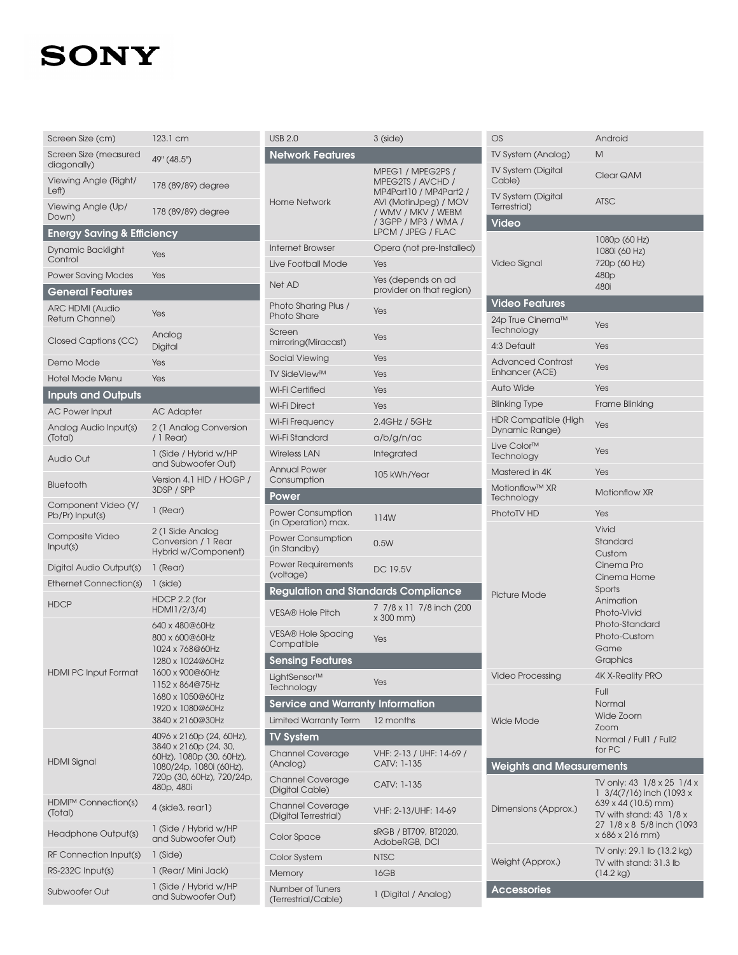| Screen Size (cm)                          | 123.1 cm                                                                                                                                                                  |
|-------------------------------------------|---------------------------------------------------------------------------------------------------------------------------------------------------------------------------|
| Screen Size (measured<br>diagonally)      | 49" (48.5")                                                                                                                                                               |
| Viewing Angle (Right/<br>Left)            | 178 (89/89) degree                                                                                                                                                        |
| Viewing Angle (Up/<br>Down)               | 178 (89/89) degree                                                                                                                                                        |
| <b>Energy Saving &amp; Efficiency</b>     |                                                                                                                                                                           |
| Dynamic Backlight<br>Control              | Yes                                                                                                                                                                       |
| <b>Power Saving Modes</b>                 | Yes                                                                                                                                                                       |
| <b>General Features</b>                   |                                                                                                                                                                           |
| <b>ARC HDMI (Audio</b><br>Return Channel) | Yes                                                                                                                                                                       |
| Closed Captions (CC)                      | Analog<br>Digital                                                                                                                                                         |
| Demo Mode                                 | Yes                                                                                                                                                                       |
| <b>Hotel Mode Menu</b>                    | Yes                                                                                                                                                                       |
| <b>Inputs and Outputs</b>                 |                                                                                                                                                                           |
| <b>AC Power Input</b>                     | AC Adapter                                                                                                                                                                |
| Analog Audio Input(s)<br>(Total)          | 2 (1 Analog Conversion<br>/ 1 Rear)                                                                                                                                       |
| Audio Out                                 | 1 (Side / Hybrid w/HP<br>and Subwoofer Out)                                                                                                                               |
| Bluetooth                                 | Version 4.1 HID / HOGP<br>3DSP / SPP                                                                                                                                      |
| Component Video (Y/<br>Pb/Pr) Input(s)    | 1 (Rear)                                                                                                                                                                  |
| Composite Video<br>Input(s)               | 2 (1 Side Analog<br>Conversion / 1 Rear<br>Hybrid w/Component)                                                                                                            |
| Digital Audio Output(s)                   | 1 (Rear)                                                                                                                                                                  |
| <b>Ethernet Connection(s)</b>             | 1 (side)                                                                                                                                                                  |
| <b>HDCP</b>                               | HDCP 2.2 (for<br>HDMI1/2/3/4)                                                                                                                                             |
| <b>HDMI PC Input Format</b>               | 640 x 480@60Hz<br>800 x 600@60Hz<br>1024 x 768@60Hz<br>1280 x 1024@60Hz<br>1600 x 900@60Hz<br>1152 x 864@75Hz<br>1680 x 1050@60Hz<br>1920 x 1080@60Hz<br>3840 x 2160@30Hz |
| HDMI Signal                               | 4096 x 2160p (24, 60Hz),<br>3840 x 2160p (24, 30,<br>60Hz), 1080p (30, 60Hz),<br>1080/24p, 1080i (60Hz),<br>720p (30, 60Hz), 720/24<br>480p, 480i                         |
| HDMI™ Connection(s)<br>(Total)            | 4 (side3, rear1)                                                                                                                                                          |
| Headphone Output(s)                       | 1 (Side / Hybrid w/HP<br>and Subwoofer Out)                                                                                                                               |
| RF Connection Input(s)                    | 1 (Side)                                                                                                                                                                  |
| RS-232C Input(s)                          | 1 (Rear/ Mini Jack)                                                                                                                                                       |
| Subwoofer Out                             | 1 (Side / Hybrid w/HP<br>and Subwoofer Out)                                                                                                                               |

| <b>USB 2.0</b>                                  | $3$ (side)                                                                                                                                                    | C                      |
|-------------------------------------------------|---------------------------------------------------------------------------------------------------------------------------------------------------------------|------------------------|
| <b>Network Features</b>                         |                                                                                                                                                               | Τ                      |
| <b>Home Network</b>                             | MPEG1 / MPEG2PS /<br>MPEG2TS / AVCHD /<br>MP4Part10 / MP4Part2 /<br>AVI (MotinJpeg) / MOV<br>/ WMV / MKV / WEBM<br>/ 3GPP / MP3 / WMA /<br>LPCM / JPEG / FLAC | Τ<br>$\zeta$<br>T<br>Τ |
| <b>Internet Browser</b>                         | Opera (not pre-Installed)                                                                                                                                     |                        |
| Live Football Mode                              | Yes                                                                                                                                                           |                        |
| Net AD                                          | Yes (depends on ad<br>provider on that region)                                                                                                                |                        |
| Photo Sharing Plus /<br><b>Photo Share</b>      | Yes                                                                                                                                                           | 2                      |
| Screen<br>mirroring(Miracast)                   | Yes                                                                                                                                                           | Τ<br>4                 |
| Social Viewing                                  | Yes                                                                                                                                                           | F                      |
| <b>TV SideView™</b>                             | Yes                                                                                                                                                           | E                      |
| Wi-Fi Certified                                 | Yes                                                                                                                                                           | F                      |
| <b>Wi-Fi Direct</b>                             | Yes                                                                                                                                                           | E                      |
| Wi-Fi Frequency                                 | 2.4GHz / 5GHz                                                                                                                                                 | ŀ<br>C                 |
| Wi-Fi Standard                                  | a/b/g/n/ac                                                                                                                                                    | L                      |
| <b>Wireless LAN</b>                             | Integrated                                                                                                                                                    | Τ                      |
| <b>Annual Power</b><br>Consumption              | 105 kWh/Year                                                                                                                                                  | Ν                      |
| Power                                           |                                                                                                                                                               | V<br>Τ                 |
| <b>Power Consumption</b><br>(in Operation) max. | 114W                                                                                                                                                          | F                      |
| <b>Power Consumption</b><br>(in Standby)        | 0.5W                                                                                                                                                          |                        |
| <b>Power Requirements</b><br>(voltage)          | DC 19.5V                                                                                                                                                      |                        |
| <b>Regulation and Standards Compliance</b>      |                                                                                                                                                               | F                      |
| <b>VESA® Hole Pitch</b>                         | 7 7/8 x 11 7/8 inch (200<br>x 300 mm)                                                                                                                         |                        |
| <b>VESA® Hole Spacing</b><br>Compatible         | Yes                                                                                                                                                           |                        |
| <b>Sensing Features</b>                         |                                                                                                                                                               |                        |
| LightSensor™<br>Technology                      | Yes                                                                                                                                                           |                        |
| <b>Service and Warranty Information</b>         |                                                                                                                                                               |                        |
| <b>Limited Warranty Term</b>                    | 12 months                                                                                                                                                     | V                      |
| <b>TV System</b>                                |                                                                                                                                                               |                        |
| <b>Channel Coverage</b><br>(Analog)             | VHF: 2-13 / UHF: 14-69 /<br>CATV: 1-135                                                                                                                       |                        |
| Channel Coverage<br>(Digital Cable)             | CATV: 1-135                                                                                                                                                   |                        |
| Channel Coverage<br>(Digital Terrestrial)       | VHF: 2-13/UHF: 14-69                                                                                                                                          | С                      |
| Color Space                                     | sRGB / BT709, BT2020,<br>AdobeRGB, DCI                                                                                                                        |                        |
| Color System                                    | <b>NTSC</b>                                                                                                                                                   |                        |
| Memory                                          |                                                                                                                                                               |                        |
|                                                 | 16GB                                                                                                                                                          |                        |

| ౿ు                                            | Anarola                                                                                                                                                  |  |  |  |
|-----------------------------------------------|----------------------------------------------------------------------------------------------------------------------------------------------------------|--|--|--|
| TV System (Analog)                            | Μ                                                                                                                                                        |  |  |  |
| <b>TV System (Digital</b><br>Cable)           | Clear QAM                                                                                                                                                |  |  |  |
| <b>TV System (Digital</b><br>Terrestrial)     | <b>ATSC</b>                                                                                                                                              |  |  |  |
| Video                                         |                                                                                                                                                          |  |  |  |
| Video Signal                                  | 1080p (60 Hz)<br>1080i (60 Hz)<br>720p (60 Hz)<br>480 <sub>p</sub><br>480i                                                                               |  |  |  |
| <b>Video Features</b>                         |                                                                                                                                                          |  |  |  |
| 24p True Cinema™<br>Technology                | Yes                                                                                                                                                      |  |  |  |
| 4:3 Default                                   | Yes                                                                                                                                                      |  |  |  |
| <b>Advanced Contrast</b><br>Enhancer (ACE)    | Yes                                                                                                                                                      |  |  |  |
| <b>Auto Wide</b>                              | Yes                                                                                                                                                      |  |  |  |
| <b>Blinking Type</b>                          | Frame Blinking                                                                                                                                           |  |  |  |
| <b>HDR Compatible (High</b><br>Dynamic Range) | Yes                                                                                                                                                      |  |  |  |
| Live Color <sup>™</sup><br>Technology         | Yes                                                                                                                                                      |  |  |  |
| Mastered in 4K                                | Yes                                                                                                                                                      |  |  |  |
| Motionflow™ XR<br>Technology                  | <b>Motionflow XR</b>                                                                                                                                     |  |  |  |
| PhotoTV HD                                    | Yes                                                                                                                                                      |  |  |  |
| <b>Picture Mode</b>                           | Vivid<br>Standard<br>Custom<br>Cinema Pro<br>Cinema Home<br>Sports<br>Animation<br>Photo-Vivid<br>Photo-Standard<br>Photo-Custom<br>Game<br>Graphics     |  |  |  |
| <b>Video Processing</b>                       | <b>4K X-Reality PRO</b>                                                                                                                                  |  |  |  |
| <b>Wide Mode</b>                              | Full<br>Normal<br>Wide Zoom<br>Zoom<br>Normal / Full1 / Full2<br>for PC                                                                                  |  |  |  |
| <b>Weights and Measurements</b>               |                                                                                                                                                          |  |  |  |
| Dimensions (Approx.)                          | TV only: 43 1/8 x 25 1/4 x<br>1 3/4(7/16) inch (1093 x<br>639 x 44 (10.5) mm)<br>TV with stand: 43 1/8 x<br>27 1/8 x 8 5/8 inch (1093<br>x 686 x 216 mm) |  |  |  |
| Weight (Approx.)                              | TV only: 29.1 lb (13.2 kg)<br>TV with stand: 31.3 lb<br>$(14.2 \text{ kg})$                                                                              |  |  |  |
| <b>Accessories</b>                            |                                                                                                                                                          |  |  |  |